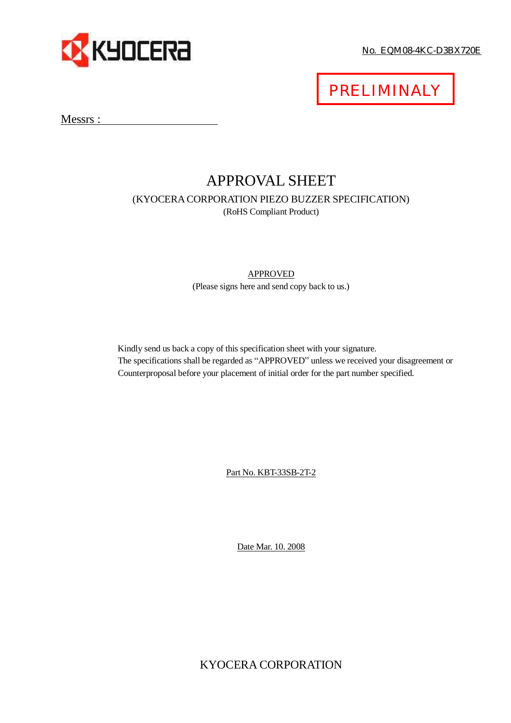

No. EQM08-4KC-D3BX720E

PRELIMINALY

Messrs :

# APPROVAL SHEET (KYOCERA CORPORATION PIEZO BUZZER SPECIFICATION) (RoHS Compliant Product)

## APPROVED (Please signs here and send copy back to us.)

Kindly send us back a copy of this specification sheet with your signature. The specifications shall be regarded as "APPROVED" unless we received your disagreement or Counterproposal before your placement of initial order for the part number specified.

Part No. KBT-33SB-2T-2

Date Mar. 10. 2008

KYOCERA CORPORATION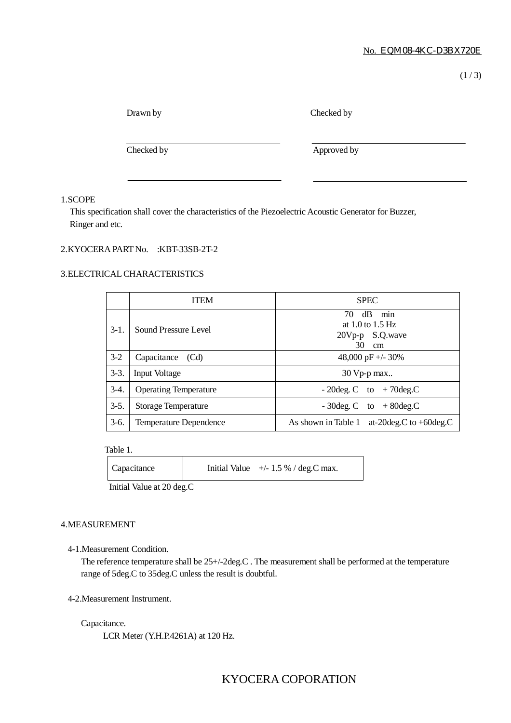$(1/3)$ 

Checked by

Checked by Approved by Approved by

#### 1.SCOPE

This specification shall cover the characteristics of the Piezoelectric Acoustic Generator for Buzzer, Ringer and etc.

### 2.KYOCERA PART No. :KBT-33SB-2T-2

#### 3.ELECTRICALCHARACTERISTICS

|        | <b>ITEM</b>                  | <b>SPEC</b>                                                            |
|--------|------------------------------|------------------------------------------------------------------------|
| $3-1.$ | Sound Pressure Level         | dB<br>70<br>min<br>at $1.0$ to $1.5$ Hz<br>20Vp-p S.Q.wave<br>30<br>cm |
| $3-2$  | Capacitance (Cd)             | 48,000 pF +/- $30\%$                                                   |
| $3-3.$ | <b>Input Voltage</b>         | $30$ Vp-p max                                                          |
| $3-4.$ | <b>Operating Temperature</b> | $-20deg.C$ to $+70deg.C$                                               |
| $3-5.$ | Storage Temperature          | $-30\text{deg. C}$ to $+80\text{deg.C}$                                |
| $3-6.$ | Temperature Dependence       | at-20 deg. $C$ to +60 deg. $C$<br>As shown in Table 1                  |

Table 1.

Capacitance Initial Value  $+/- 1.5 %$  / deg.C max.

Initial Value at 20 deg.C

#### 4.MEASUREMENT

#### 4-1.Measurement Condition.

The reference temperature shall be 25+/-2deg.C . The measurement shall be performed at the temperature range of 5deg.C to 35deg.C unless the result is doubtful.

4-2.Measurement Instrument.

Capacitance.

LCR Meter (Y.H.P.4261A) at 120 Hz.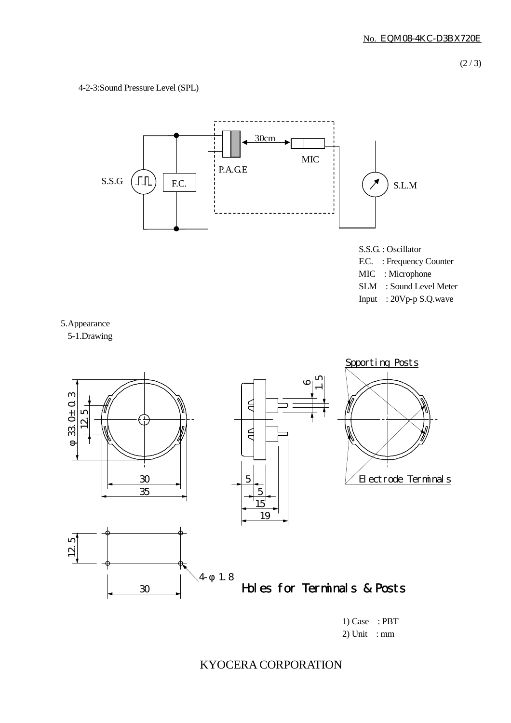### 4-2-3:Sound Pressure Level (SPL)



F.C. : Frequency Counter MIC : Microphone

- SLM : Sound Level Meter
- Input : 20Vp-p S.Q.wave



5-1.Drawing



2) Unit : mm

KYOCERA CORPORATION